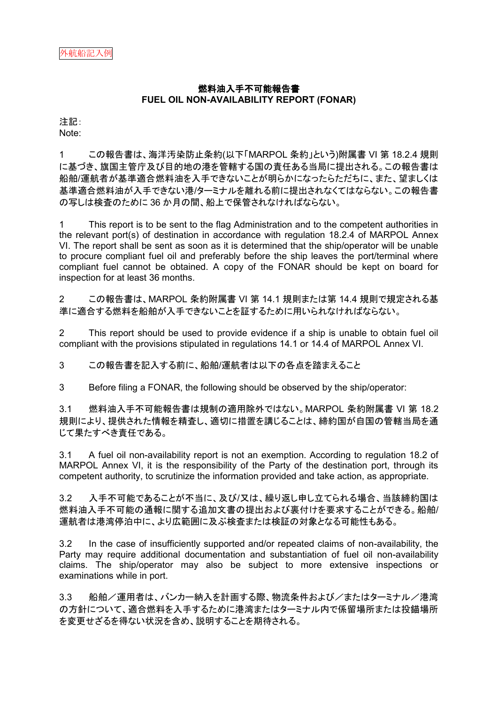## 燃料油入手不可能報告書 **FUEL OIL NON-AVAILABILITY REPORT (FONAR)**

注記: Note:

1 この報告書は、海洋汚染防止条約(以下「MARPOL 条約」という)附属書 VI 第 18.2.4 規則 に基づき、旗国主管庁及び目的地の港を管轄する国の責任ある当局に提出される。この報告書は 船舶/運航者が基準適合燃料油を入手できないことが明らかになったらただちに、また、望ましくは 基準適合燃料油が入手できない港/ターミナルを離れる前に提出されなくてはならない。この報告書 の写しは検査のために 36 か月の間、船上で保管されなければならない。

1 This report is to be sent to the flag Administration and to the competent authorities in the relevant port(s) of destination in accordance with regulation 18.2.4 of MARPOL Annex VI. The report shall be sent as soon as it is determined that the ship/operator will be unable to procure compliant fuel oil and preferably before the ship leaves the port/terminal where compliant fuel cannot be obtained. A copy of the FONAR should be kept on board for inspection for at least 36 months.

2 この報告書は、MARPOL 条約附属書 VI 第 14.1 規則または第 14.4 規則で規定される基 準に適合する燃料を船舶が入手できないことを証するために用いられなければならない。

2 This report should be used to provide evidence if a ship is unable to obtain fuel oil compliant with the provisions stipulated in regulations 14.1 or 14.4 of MARPOL Annex VI.

3 この報告書を記入する前に、船舶/運航者は以下の各点を踏まえること

3 Before filing a FONAR, the following should be observed by the ship/operator:

3.1 燃料油入手不可能報告書は規制の適用除外ではない。MARPOL 条約附属書 VI 第 18.2 規則により、提供された情報を精査し、適切に措置を講じることは、締約国が自国の管轄当局を通 じて果たすべき責任である。

3.1 A fuel oil non-availability report is not an exemption. According to regulation 18.2 of MARPOL Annex VI, it is the responsibility of the Party of the destination port, through its competent authority, to scrutinize the information provided and take action, as appropriate.

3.2 入手不可能であることが不当に、及び/又は、繰り返し申し立てられる場合、当該締約国は 燃料油入手不可能の通報に関する追加文書の提出および裏付けを要求することができる。船舶/ 運航者は港湾停泊中に、より広範囲に及ぶ検査または検証の対象となる可能性もある。

3.2 In the case of insufficiently supported and/or repeated claims of non-availability, the Party may require additional documentation and substantiation of fuel oil non-availability claims. The ship/operator may also be subject to more extensive inspections or examinations while in port.

3.3 船舶/運用者は、バンカー納入を計画する際、物流条件および/またはターミナル/港湾 の方針について、適合燃料を入手するために港湾またはターミナル内で係留場所または投錨場所 を変更せざるを得ない状況を含め、説明することを期待される。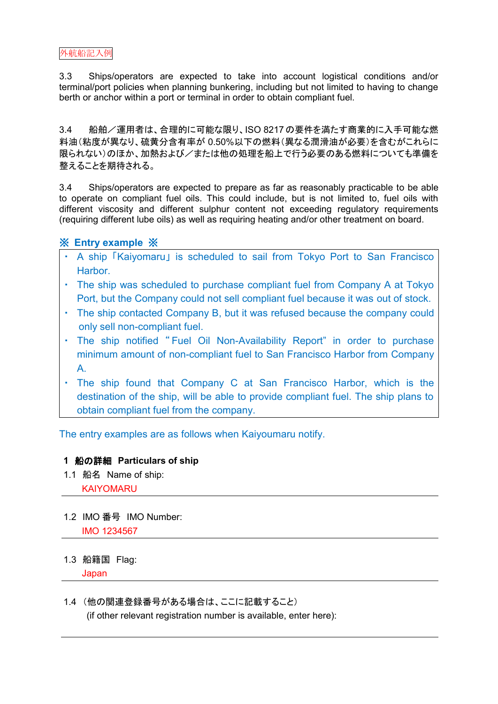### 外航船記入例

3.3 Ships/operators are expected to take into account logistical conditions and/or terminal/port policies when planning bunkering, including but not limited to having to change berth or anchor within a port or terminal in order to obtain compliant fuel.

3.4 船舶/運用者は、合理的に可能な限り、ISO 8217の要件を満たす商業的に入手可能な燃 料油(粘度が異なり、硫黄分含有率が 0.50%以下の燃料(異なる潤滑油が必要)を含むがこれらに 限られない)のほか、加熱および/または他の処理を船上で行う必要のある燃料についても準備を 整えることを期待される。

3.4 Ships/operators are expected to prepare as far as reasonably practicable to be able to operate on compliant fuel oils. This could include, but is not limited to, fuel oils with different viscosity and different sulphur content not exceeding regulatory requirements (requiring different lube oils) as well as requiring heating and/or other treatment on board.

## ※ **Entry example** ※

- ・ A ship 「Kaiyomaru」 is scheduled to sail from Tokyo Port to San Francisco Harbor.
- ・ The ship was scheduled to purchase compliant fuel from Company A at Tokyo Port, but the Company could not sell compliant fuel because it was out of stock.
- The ship contacted Company B, but it was refused because the company could only sell non-compliant fuel.
- ・ The ship notified "Fuel Oil Non-Availability Report" in order to purchase minimum amount of non-compliant fuel to San Francisco Harbor from Company A.
- ・ The ship found that Company C at San Francisco Harbor, which is the destination of the ship, will be able to provide compliant fuel. The ship plans to obtain compliant fuel from the company.

The entry examples are as follows when Kaiyoumaru notify.

### **1** 船の詳細 **Particulars of ship**

1.1 船名 Name of ship: KAIYOMARU

# 1.2 IMO 番号 IMO Number: IMO 1234567

1.3 船籍国 Flag:

Japan

1.4 (他の関連登録番号がある場合は、ここに記載すること) (if other relevant registration number is available, enter here):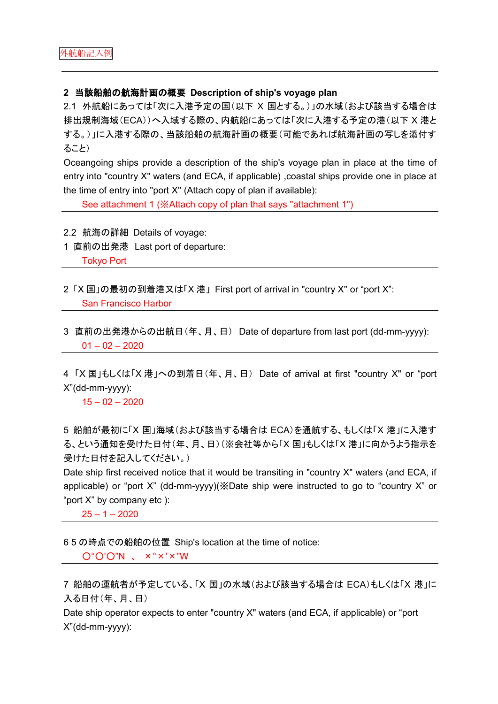#### **2** 当該船舶の航海計画の概要 **Description of ship's voyage plan**

2.1 外航船にあっては「次に入港予定の国(以下 X 国とする。)」の水域(および該当する場合は 排出規制海域(ECA))へ入域する際の、内航船にあっては「次に入港する予定の港(以下 X 港と する。)」に入港する際の、当該船舶の航海計画の概要(可能であれば航海計画の写しを添付す ること)

Oceangoing ships provide a description of the ship's voyage plan in place at the time of entry into "country X" waters (and ECA, if applicable) ,coastal ships provide one in place at the time of entry into "port X" (Attach copy of plan if available):

See attachment 1 (※Attach copy of plan that says "attachment 1")

- 2.2 航海の詳細 Details of voyage:
- 1 直前の出発港 Last port of departure: Tokyo Port
- 2 「X 国」の最初の到着港又は「X 港」 First port of arrival in "country X" or "port X": San Francisco Harbor
- 3 直前の出発港からの出航日(年、月、日) Date of departure from last port (dd-mm-yyyy):  $01 - 02 - 2020$

4 「X 国」もしくは「X 港」への到着日(年、月、日) Date of arrival at first "country X" or "port X"(dd-mm-yyyy):

15 – 02 – 2020

5 船舶が最初に「X 国」海域(および該当する場合は ECA)を通航する、もしくは「X 港」に入港す る、という通知を受けた日付(年、月、日)(※会社等から「X 国」もしくは「X 港」に向かうよう指示を 受けた日付を記入してください。)

Date ship first received notice that it would be transiting in "country X" waters (and ECA, if applicable) or "port X" (dd-mm-yyyy)(※Date ship were instructed to go to "country X" or "port X" by company etc ):

 $25 - 1 - 2020$ 

6 5 の時点での船舶の位置 Ship's location at the time of notice:

○°○'○"N 、 ×°×'×"W

7 船舶の運航者が予定している、「X 国」の水域(および該当する場合は ECA)もしくは「X 港」に 入る日付(年、月、日)

Date ship operator expects to enter "country X" waters (and ECA, if applicable) or "port X"(dd-mm-yyyy):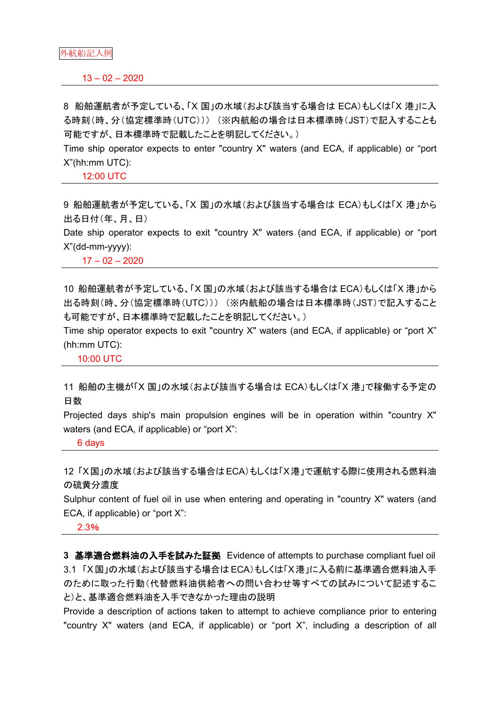13 – 02 – 2020

8 船舶運航者が予定している、「X 国」の水域(および該当する場合は ECA)もしくは「X 港」に入 る時刻(時、分(協定標準時(UTC))) (※内航船の場合は日本標準時(JST)で記入することも 可能ですが、日本標準時で記載したことを明記してください。)

Time ship operator expects to enter "country X" waters (and ECA, if applicable) or "port X"(hh:mm UTC):

12:00 UTC

9 船舶運航者が予定している、「X 国」の水域(および該当する場合は ECA)もしくは「X 港」から 出る日付(年、月、日)

Date ship operator expects to exit "country X" waters (and ECA, if applicable) or "port X"(dd-mm-yyyy):

 $17 - 02 - 2020$ 

10 船舶運航者が予定している、「X 国」の水域(および該当する場合は ECA)もしくは「X 港」から 出る時刻(時、分(協定標準時(UTC))) (※内航船の場合は日本標準時(JST)で記入すること も可能ですが、日本標準時で記載したことを明記してください。)

Time ship operator expects to exit "country X" waters (and ECA, if applicable) or "port X" (hh:mm UTC):

10:00 UTC

11 船舶の主機が「X 国」の水域(および該当する場合は ECA)もしくは「X 港」で稼働する予定の 日数

Projected days ship's main propulsion engines will be in operation within "country X" waters (and ECA, if applicable) or "port X":

6 days

12 「X国」の水域(および該当する場合はECA)もしくは「X港」で運航する際に使用される燃料油 の硫黄分濃度

Sulphur content of fuel oil in use when entering and operating in "country X" waters (and ECA, if applicable) or "port X":

2.3%

**3** 基準適合燃料油の入手を試みた証拠 Evidence of attempts to purchase compliant fuel oil 3.1 「X国」の水域(および該当する場合はECA)もしくは「X港」に入る前に基準適合燃料油入手 のために取った行動(代替燃料油供給者への問い合わせ等すべての試みについて記述するこ と)と、基準適合燃料油を入手できなかった理由の説明

Provide a description of actions taken to attempt to achieve compliance prior to entering "country X" waters (and ECA, if applicable) or "port X", including a description of all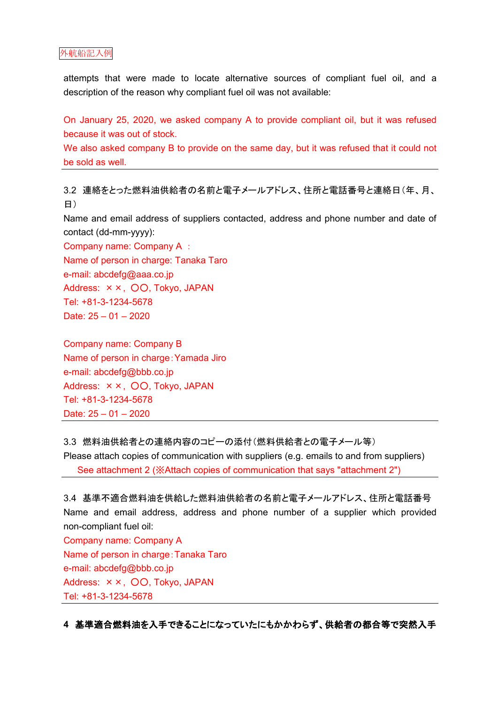#### 外航船記入例

attempts that were made to locate alternative sources of compliant fuel oil, and a description of the reason why compliant fuel oil was not available:

On January 25, 2020, we asked company A to provide compliant oil, but it was refused because it was out of stock.

We also asked company B to provide on the same day, but it was refused that it could not be sold as well.

3.2 連絡をとった燃料油供給者の名前と電子メールアドレス、住所と電話番号と連絡日(年、月、 日)

Name and email address of suppliers contacted, address and phone number and date of contact (dd-mm-yyyy):

Company name: Company A : Name of person in charge: Tanaka Taro e-mail: abcdefg@aaa.co.jp Address: × ×, OO, Tokyo, JAPAN Tel: +81-3-1234-5678 Date: 25 – 01 – 2020

Company name: Company B Name of person in charge:Yamada Jiro e-mail: abcdefg@bbb.co.jp Address:  $\times \times$ , OO, Tokyo, JAPAN Tel: +81-3-1234-5678 Date: 25 – 01 – 2020

3.3 燃料油供給者との連絡内容のコピーの添付(燃料供給者との電子メール等) Please attach copies of communication with suppliers (e.g. emails to and from suppliers) See attachment 2 (※Attach copies of communication that says "attachment 2")

3.4 基準不適合燃料油を供給した燃料油供給者の名前と電子メールアドレス、住所と電話番号 Name and email address, address and phone number of a supplier which provided non-compliant fuel oil: Company name: Company A Name of person in charge:Tanaka Taro e-mail: abcdefg@bbb.co.jp Address:  $\times \times$ , OO, Tokyo, JAPAN Tel: +81-3-1234-5678

**4** 基準適合燃料油を入手できることになっていたにもかかわらず、供給者の都合等で突然入手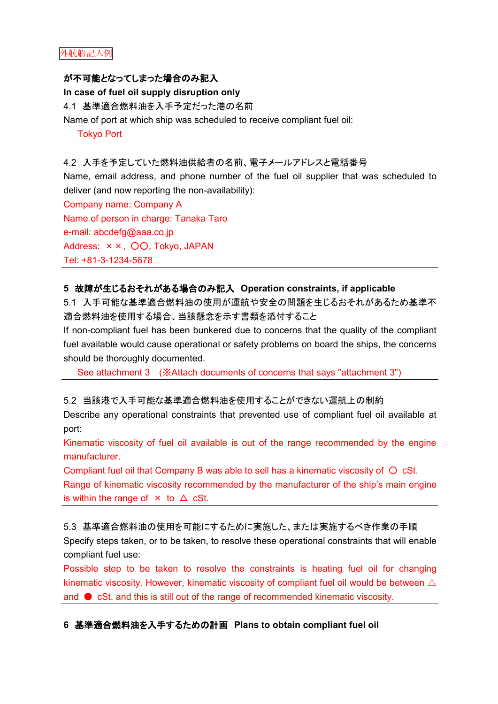## が不可能となってしまった場合のみ記入

**In case of fuel oil supply disruption only**

4.1 基準適合燃料油を入手予定だった港の名前

Name of port at which ship was scheduled to receive compliant fuel oil:

Tokyo Port

### 4.2 入手を予定していた燃料油供給者の名前、電子メールアドレスと電話番号

Name, email address, and phone number of the fuel oil supplier that was scheduled to deliver (and now reporting the non-availability):

Company name: Company A Name of person in charge: Tanaka Taro e-mail: abcdefg@aaa.co.jp Address:  $\times \times$ , OO, Tokyo, JAPAN Tel: +81-3-1234-5678

## **5** 故障が生じるおそれがある場合のみ記入 **Operation constraints, if applicable**

5.1 入手可能な基準適合燃料油の使用が運航や安全の問題を生じるおそれがあるため基準不 適合燃料油を使用する場合、当該懸念を示す書類を添付すること

If non-compliant fuel has been bunkered due to concerns that the quality of the compliant fuel available would cause operational or safety problems on board the ships, the concerns should be thoroughly documented.

See attachment 3 (※Attach documents of concerns that says "attachment 3")

### 5.2 当該港で入手可能な基準適合燃料油を使用することができない運航上の制約

Describe any operational constraints that prevented use of compliant fuel oil available at port:

Kinematic viscosity of fuel oil available is out of the range recommended by the engine manufacturer.

Compliant fuel oil that Company B was able to sell has a kinematic viscosity of  $O$  cSt.

Range of kinematic viscosity recommended by the manufacturer of the ship's main engine is within the range of  $\times$  to  $\triangle$  cSt.

5.3 基準適合燃料油の使用を可能にするために実施した、または実施するべき作業の手順 Specify steps taken, or to be taken, to resolve these operational constraints that will enable compliant fuel use:

Possible step to be taken to resolve the constraints is heating fuel oil for changing kinematic viscosity. However, kinematic viscosity of compliant fuel oil would be between  $\triangle$ and  $\bullet$  cSt, and this is still out of the range of recommended kinematic viscosity.

**6** 基準適合燃料油を入手するための計画 **Plans to obtain compliant fuel oil**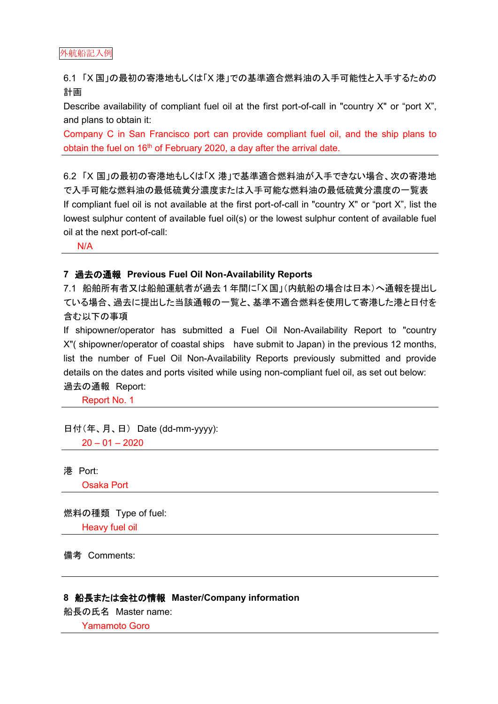6.1 「X 国」の最初の寄港地もしくは「X 港」での基準適合燃料油の入手可能性と入手するための 計画

Describe availability of compliant fuel oil at the first port-of-call in "country X" or "port X". and plans to obtain it:

Company C in San Francisco port can provide compliant fuel oil, and the ship plans to obtain the fuel on 16<sup>th</sup> of February 2020, a day after the arrival date.

6.2 「X 国」の最初の寄港地もしくは「X 港」で基準適合燃料油が入手できない場合、次の寄港地 で入手可能な燃料油の最低硫黄分濃度または入手可能な燃料油の最低硫黄分濃度の一覧表 If compliant fuel oil is not available at the first port-of-call in "country X" or "port X", list the lowest sulphur content of available fuel oil(s) or the lowest sulphur content of available fuel oil at the next port-of-call:

N/A

## **7** 過去の通報 **Previous Fuel Oil Non-Availability Reports**

7.1 船舶所有者又は船舶運航者が過去 1 年間に「X 国」(内航船の場合は日本)へ通報を提出し ている場合、過去に提出した当該通報の一覧と、基準不適合燃料を使用して寄港した港と日付を 含む以下の事項

If shipowner/operator has submitted a Fuel Oil Non-Availability Report to "country X"( shipowner/operator of coastal ships have submit to Japan) in the previous 12 months, list the number of Fuel Oil Non-Availability Reports previously submitted and provide details on the dates and ports visited while using non-compliant fuel oil, as set out below: 過去の通報 Report:

Report No. 1

日付(年、月、日) Date (dd-mm-yyyy):  $20 - 01 - 2020$ 

港 Port:

Osaka Port

燃料の種類 Type of fuel: Heavy fuel oil

備考 Comments:

### **8** 船長または会社の情報 **Master/Company information**

船長の氏名 Master name:

Yamamoto Goro